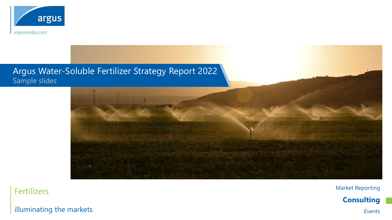

## Argus Water-Soluble Fertilizer Strategy Report 2022 Sample slides



Fertilizers

Market Reporting

**Consulting**

illuminating the markets

Events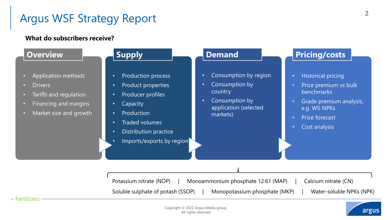## Argus WSF Strategy Report

### **What do subscribers receive?**

- Fertilizers -

| <b>Overview</b>                                                                                                           | <b>Supply</b>                                                                                                                                                          | <b>Demand</b>                                                                                                                       | <b>Pricing/costs</b>                                                                                                                                                                                            |
|---------------------------------------------------------------------------------------------------------------------------|------------------------------------------------------------------------------------------------------------------------------------------------------------------------|-------------------------------------------------------------------------------------------------------------------------------------|-----------------------------------------------------------------------------------------------------------------------------------------------------------------------------------------------------------------|
| <b>Application methods</b><br><b>Drivers</b><br>Tariffs and regulation<br>Financing and margins<br>Market size and growth | Production process<br>Product properties<br>Producer profiles<br>Capacity<br>Production<br><b>Traded volumes</b><br>Distribution practice<br>Imports/exports by region | Consumption by region<br>Consumption by<br>$\bullet$<br>country<br>Consumption by<br>$\bullet$<br>application (selected<br>markets) | <b>Historical pricing</b><br>$\bullet$<br>Price premium vs bulk<br>$\bullet$<br>benchmarks<br>Grade premium analysis,<br>$\bullet$<br>e.g. WS NPKs<br>Price forecast<br>$\bullet$<br>Cost analysis<br>$\bullet$ |
|                                                                                                                           | Potassium nitrate (NOP)<br>Soluble sulphate of potash (SSOP)                                                                                                           | Monoammonium phosphate 12:61 (MAP)<br>Monopotassium phosphate (MKP)                                                                 | Calcium nitrate (CN)<br>Water-soluble NPKs (NPK)                                                                                                                                                                |



**2**

Copyright © 2022 Argus Media group. All rights reserved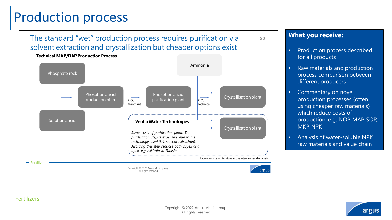# Production process

The standard "wet" production process requires purification via solvent extraction and crystallization but cheaper options exist



### **What you receive:**

**80**

- Production process described for all products
- Raw materials and production process comparison between different producers
- Commentary on novel production processes (often using cheaper raw materials) which reduce costs of production, e.g. NOP, MAP, SOP, MKP, NPK
- Analysis of water-soluble NPK raw materials and value chain

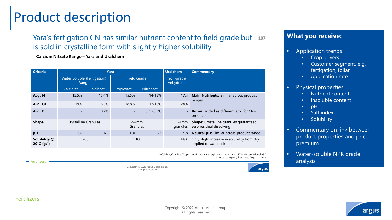## Product description

### Yara's fertigation CN has similar nutrient content to field grade but is sold in crystalline form with slightly higher solubility **107**

| <b>Criteria</b>                      | Yara                                 |                       |                        |                       | <b>Uralchem</b>         | <b>Commentary</b>                                                         |  |
|--------------------------------------|--------------------------------------|-----------------------|------------------------|-----------------------|-------------------------|---------------------------------------------------------------------------|--|
|                                      | Water Soluble (Fertigation)<br>Range |                       | <b>Field Grade</b>     |                       | Tech-grade<br>Anhydrous |                                                                           |  |
|                                      | Calcinit <sup>®</sup>                | Calcibor <sup>®</sup> | Tropicote <sup>®</sup> | Nitrabor <sup>®</sup> |                         |                                                                           |  |
| Avg. N                               | 15.5%                                | 15.4%                 | 15.5%                  | 14-15%                | 17%                     | <b>Main Nutrients:</b> Similar across product<br>ranges                   |  |
| Avg. Ca                              | 19%                                  | 18.3%                 | 18.8%                  | $17 - 18%$            | 24%                     |                                                                           |  |
| Avg. B                               |                                      | 0.2%                  |                        | $0.25 - 0.3%$         |                         | <b>Boron:</b> added as differentiator for $CN+B$<br>products              |  |
| <b>Shape</b>                         | Crystalline Granules                 |                       | $2 - 4$ mm<br>Granules |                       | 1-4mm<br>granules       | <b>Shape:</b> Crystalline granules guaranteed<br>zero residual dissolving |  |
| pH                                   | 6.0                                  | 6.3                   | 6.0                    | 6.3                   | 5.8                     | <b>Neutral pH:</b> Similar across product range                           |  |
| Solubility @<br>$20^{\circ}$ C (g/l) | 1,200                                |                       | 1,100                  |                       | N/A                     | Only slight increase in solubility from dry<br>applied to water soluble   |  |

**Calcium Nitrate Range – Yara and Uralchem**

Fertilizers **analysis** ®Calcinit, Calcibor, Tropicote, Nitrabor are registered trademarks of Yara International ASA Source: company literature, Argus analysis

argus

Copyright © 2022 Argus Media group. All rights reserved

### **What you receive:**

- Application trends
	- **Crop drivers**
	- Customer segment, e.g. fertigation, foliar
	- Application rate
- Physical properties
	- Nutrient content
	- Insoluble content
	- pH
	- Salt index
	- Solubility
- Commentary on link between product properties and price premium
- Water-soluble NPK grade

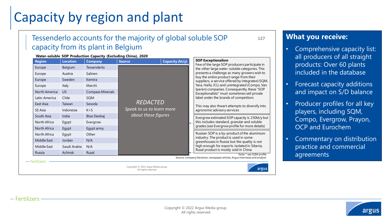# Capacity by region and plant

### Tessenderlo accounts for the majority of global soluble SOP capacity from its plant in Belgium

#### **Water-soluble SOP Production Capacity (Excluding China), 2020**

| Belgium<br>Austria<br>Sweden | Tessenderlo<br>Salinen  |     |                                     |                                                                     |  |  |
|------------------------------|-------------------------|-----|-------------------------------------|---------------------------------------------------------------------|--|--|
|                              |                         |     |                                     | Few of the large SOP produ<br>the other large water-solubl          |  |  |
|                              |                         |     |                                     | presents a challenge as man                                         |  |  |
|                              | Kemira                  |     |                                     | buy the entire product range<br>suppliers, a service offered b      |  |  |
| Italy                        | Marchi                  |     |                                     | Yara, Haifa, ICL) and uninteg                                       |  |  |
| US.                          | <b>Compass Minerals</b> |     |                                     | Iperen) companies. Consequ<br>Exceptionalists" must somet           |  |  |
| Chile                        | SQM                     |     |                                     | label under the brands of co                                        |  |  |
| Taiwan                       | Sesoda                  |     |                                     | This may also thwart attemp                                         |  |  |
| Indonesia                    | $K+S$                   |     |                                     | agronomic advisory service:                                         |  |  |
| India                        | Blue Deebaj             |     |                                     | Evergrow estimated SOP cap                                          |  |  |
| Egypt                        | Evergrow                |     |                                     | this includes standard, grant                                       |  |  |
| Egypt                        | Egypt army              |     |                                     | grades (see Evergrow profile                                        |  |  |
| Egypt                        | Other                   |     |                                     | Russian SOP is a by-produc                                          |  |  |
| Jordan                       | N/A                     |     |                                     | industry. The product is use<br>greenhouses in Russia but t         |  |  |
| Saudi Arabia                 |                         |     |                                     | high enough for exports. Isc                                        |  |  |
| <b>Achinsk</b>               | Rusal                   |     |                                     | Rusal product is mostly sold                                        |  |  |
|                              |                         |     |                                     | Source: company literature, newspaper articles, Argu:               |  |  |
|                              |                         | N/A | Copyright © 2022 Argus Media group. | <b>REDACTED</b><br>Speak to us to learn more<br>about these figures |  |  |

cers participate in le categories. This py growers wish to e from their by integrated (SQM, grated (Compo, Van uently, these "SOP times sell private b mpetitors

**127**

argus

ots to diversify into agronomic advisory services

pacity is 250kt/y but ular and soluble e for more details)

t of the aluminium d in some he quality is not plated in Siberia. in China

Note: \* see SQM profile s interviews and analysis

### **What you receive:**

- Comprehensive capacity list: all producers of all straight products: Over 60 plants included in the database
- Forecast capacity additions and impact on S/D balance
- Producer profiles for all key players, including SQM, Compo, Evergrow, Prayon, OCP and Eurochem
- Commentary on distribution practice and commercial **agreements**

argu

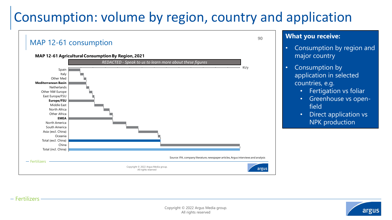# Consumption: volume by region, country and application



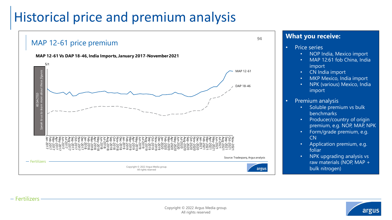# Historical price and premium analysis



### **What you receive:**

- Price series
	- NOP India, Mexico import
	- MAP 12:61 fob China, India import
	- CN India import
	- MKP Mexico, India import
	- NPK (various) Mexico, India import
- Premium analysis
	- Soluble premium vs bulk benchmarks
	- Producer/country of origin premium, e.g. NOP, MAP, NPK
	- Form/grade premium, e.g. CN
	- Application premium, e.g. foliar
	- NPK upgrading analysis vs raw materials (NOP, MAP + bulk nitrogen)



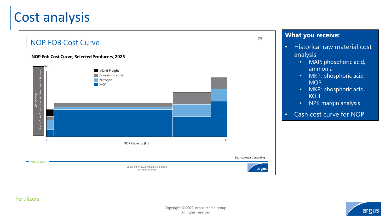## Cost analysis



### **What you receive:**

- Historical raw material cost analysis
	- MAP: phosphoric acid, ammonia
	- MKP: phosphoric acid, **MOP**
	- MKP: phosphoric acid, **KOH**
	- NPK margin analysis
- Cash cost curve for NOP

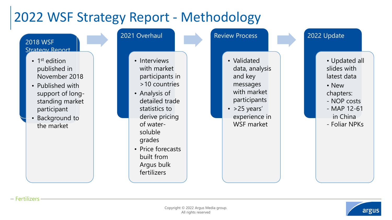# 2022 WSF Strategy Report - Methodology

#### 2018 WSF Strategy Report • 1<sup>st</sup> edition published in November 2018 • Published with support of longstanding market participant • Background to the market 2021 Overhaul • Interviews with market participants in >10 countries • Analysis of detailed trade statistics to derive pricing of watersoluble grades • Price forecasts built from Argus bulk Review Process • Validated data, analysis and key messages with market participants  $\cdot$  > 25 years' experience in WSF market 2022 Update • Updated all slides with latest data • New chapters: - NOP costs - MAP 12-61 in China - Foliar NPKs

fertilizers